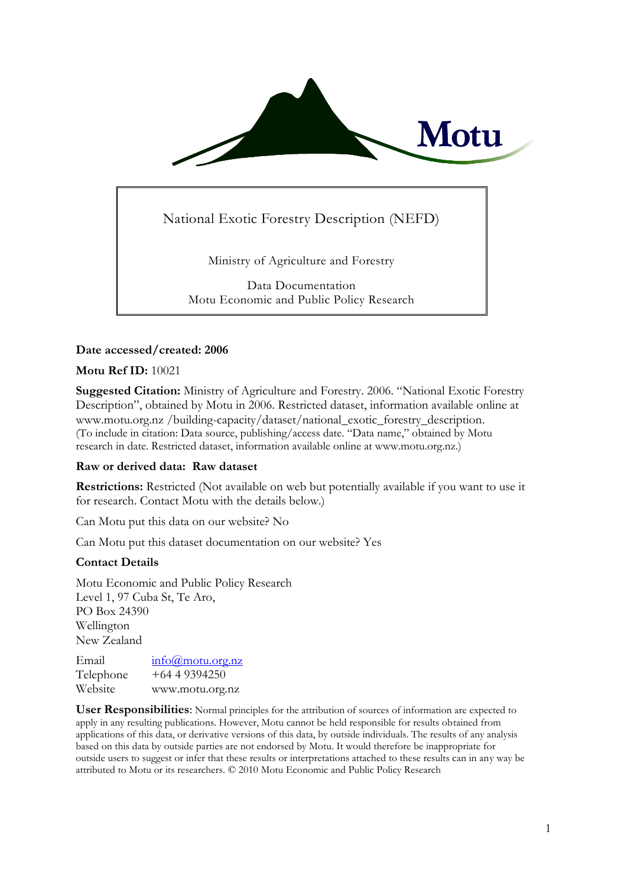

# National Exotic Forestry Description (NEFD)

Ministry of Agriculture and Forestry

Data Documentation Motu Economic and Public Policy Research

## **Date accessed/created: 2006**

## **Motu Ref ID:** 10021

**Suggested Citation:** Ministry of Agriculture and Forestry. 2006. "National Exotic Forestry Description", obtained by Motu in 2006. Restricted dataset, information available online at www.motu.org.nz /building-capacity/dataset/national\_exotic\_forestry\_description. (To include in citation: Data source, publishing/access date. "Data name," obtained by Motu research in date. Restricted dataset, information available online at www.motu.org.nz.)

## **Raw or derived data: Raw dataset**

**Restrictions:** Restricted (Not available on web but potentially available if you want to use it for research. Contact Motu with the details below.)

Can Motu put this data on our website? No

Can Motu put this dataset documentation on our website? Yes

## **Contact Details**

Motu Economic and Public Policy Research Level 1, 97 Cuba St, Te Aro, PO Box 24390 Wellington New Zealand

Email [info@motu.org.nz](mailto:info@motu.org.nz) Telephone +64 4 9394250 Website www.motu.org.nz

**User Responsibilities**: Normal principles for the attribution of sources of information are expected to apply in any resulting publications. However, Motu cannot be held responsible for results obtained from applications of this data, or derivative versions of this data, by outside individuals. The results of any analysis based on this data by outside parties are not endorsed by Motu. It would therefore be inappropriate for outside users to suggest or infer that these results or interpretations attached to these results can in any way be attributed to Motu or its researchers. © 2010 Motu Economic and Public Policy Research